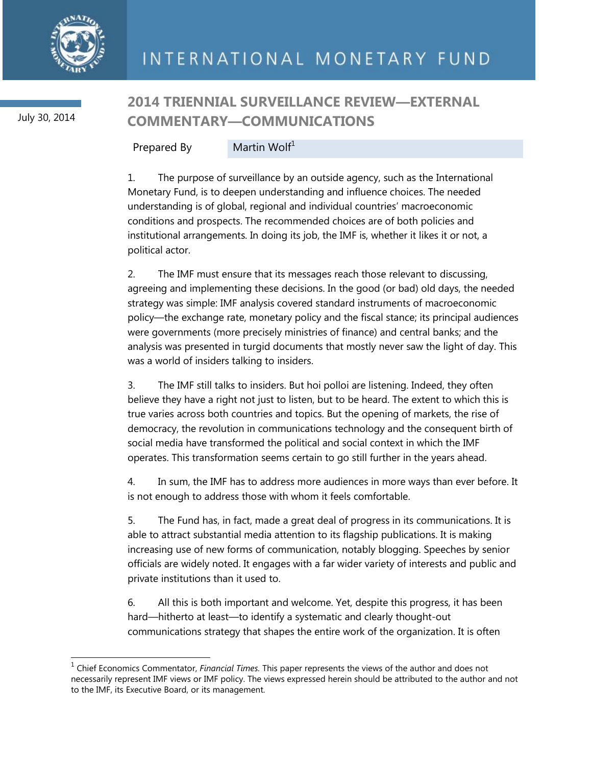

 $\overline{a}$ 

July 30, 2014

## **2014 TRIENNIAL SURVEILLANCE REVIEW—EXTERNAL COMMENTARY—COMMUNICATIONS**

Prepared By Martin Wolf<sup>1</sup>

1. The purpose of surveillance by an outside agency, such as the International Monetary Fund, is to deepen understanding and influence choices. The needed understanding is of global, regional and individual countries' macroeconomic conditions and prospects. The recommended choices are of both policies and institutional arrangements. In doing its job, the IMF is, whether it likes it or not, a political actor.

2. The IMF must ensure that its messages reach those relevant to discussing, agreeing and implementing these decisions. In the good (or bad) old days, the needed strategy was simple: IMF analysis covered standard instruments of macroeconomic policy—the exchange rate, monetary policy and the fiscal stance; its principal audiences were governments (more precisely ministries of finance) and central banks; and the analysis was presented in turgid documents that mostly never saw the light of day. This was a world of insiders talking to insiders.

3. The IMF still talks to insiders. But hoi polloi are listening. Indeed, they often believe they have a right not just to listen, but to be heard. The extent to which this is true varies across both countries and topics. But the opening of markets, the rise of democracy, the revolution in communications technology and the consequent birth of social media have transformed the political and social context in which the IMF operates. This transformation seems certain to go still further in the years ahead.

4. In sum, the IMF has to address more audiences in more ways than ever before. It is not enough to address those with whom it feels comfortable.

5. The Fund has, in fact, made a great deal of progress in its communications. It is able to attract substantial media attention to its flagship publications. It is making increasing use of new forms of communication, notably blogging. Speeches by senior officials are widely noted. It engages with a far wider variety of interests and public and private institutions than it used to.

6. All this is both important and welcome. Yet, despite this progress, it has been hard—hitherto at least—to identify a systematic and clearly thought-out communications strategy that shapes the entire work of the organization. It is often

<sup>&</sup>lt;sup>1</sup> Chief Economics Commentator, *Financial Times*. This paper represents the views of the author and does not necessarily represent IMF views or IMF policy. The views expressed herein should be attributed to the author and not to the IMF, its Executive Board, or its management.